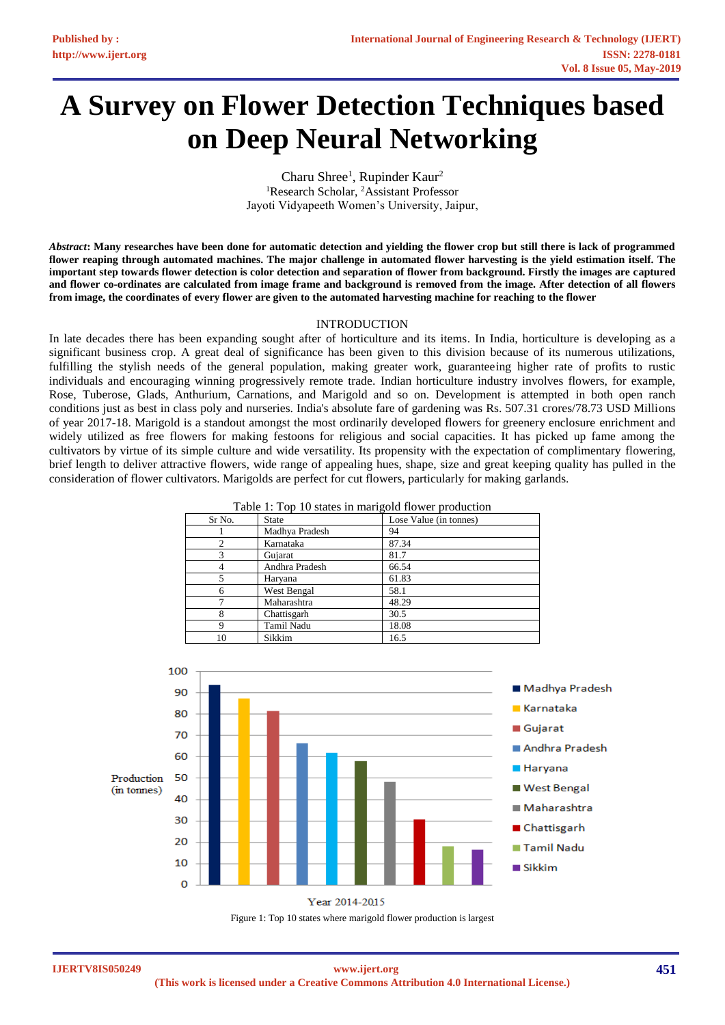# **A Survey on Flower Detection Techniques based on Deep Neural Networking**

Charu Shree<sup>1</sup>, Rupinder Kaur<sup>2</sup> <sup>1</sup>Research Scholar, <sup>2</sup>Assistant Professor Jayoti Vidyapeeth Women's University, Jaipur,

*Abstract***: Many researches have been done for automatic detection and yielding the flower crop but still there is lack of programmed flower reaping through automated machines. The major challenge in automated flower harvesting is the yield estimation itself. The important step towards flower detection is color detection and separation of flower from background. Firstly the images are captured and flower co-ordinates are calculated from image frame and background is removed from the image. After detection of all flowers from image, the coordinates of every flower are given to the automated harvesting machine for reaching to the flower**

### INTRODUCTION

In late decades there has been expanding sought after of horticulture and its items. In India, horticulture is developing as a significant business crop. A great deal of significance has been given to this division because of its numerous utilizations, fulfilling the stylish needs of the general population, making greater work, guaranteeing higher rate of profits to rustic individuals and encouraging winning progressively remote trade. Indian horticulture industry involves flowers, for example, Rose, Tuberose, Glads, Anthurium, Carnations, and Marigold and so on. Development is attempted in both open ranch conditions just as best in class poly and nurseries. India's absolute fare of gardening was Rs. 507.31 crores/78.73 USD Millions of year 2017-18. Marigold is a standout amongst the most ordinarily developed flowers for greenery enclosure enrichment and widely utilized as free flowers for making festoons for religious and social capacities. It has picked up fame among the cultivators by virtue of its simple culture and wide versatility. Its propensity with the expectation of complimentary flowering, brief length to deliver attractive flowers, wide range of appealing hues, shape, size and great keeping quality has pulled in the consideration of flower cultivators. Marigolds are perfect for cut flowers, particularly for making garlands.

| Lavie 1. Top To states in marriagula Howel production |                |                        |
|-------------------------------------------------------|----------------|------------------------|
| Sr No.                                                | <b>State</b>   | Lose Value (in tonnes) |
|                                                       | Madhya Pradesh | 94                     |
|                                                       | Karnataka      | 87.34                  |
|                                                       | Gujarat        | 81.7                   |
|                                                       | Andhra Pradesh | 66.54                  |
|                                                       | Haryana        | 61.83                  |
|                                                       | West Bengal    | 58.1                   |
|                                                       | Maharashtra    | 48.29                  |
|                                                       | Chattisgarh    | 30.5                   |
|                                                       | Tamil Nadu     | 18.08                  |
| 10                                                    | Sikkim         | 16.5                   |

Table 1: Top 10 states in marigold flower production



Figure 1: Top 10 states where marigold flower production is largest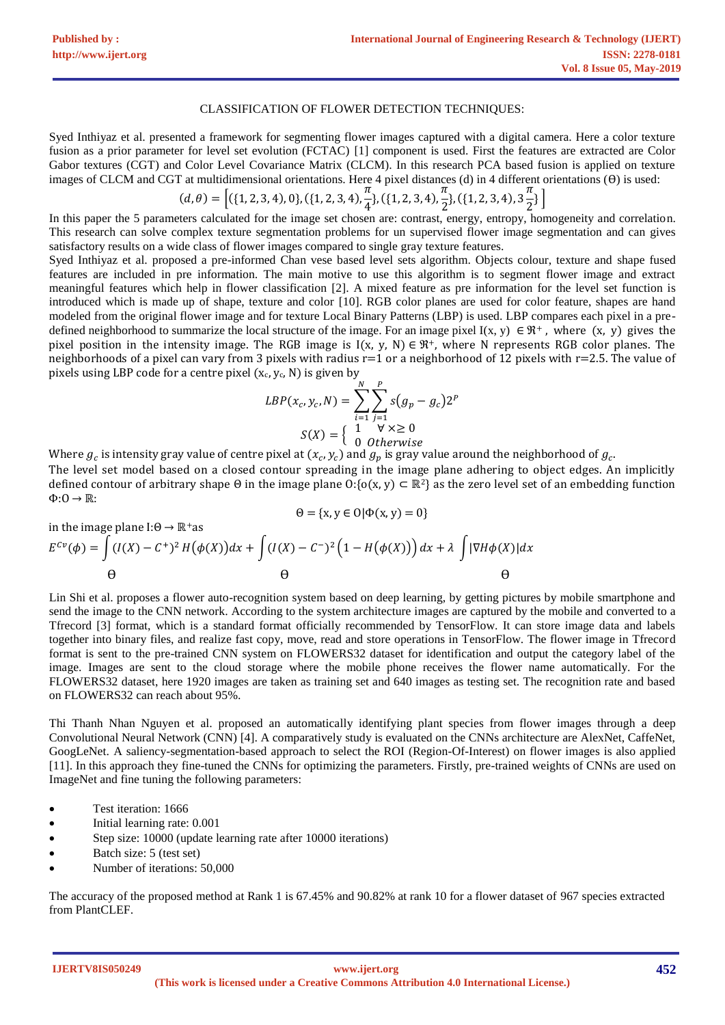### CLASSIFICATION OF FLOWER DETECTION TECHNIQUES:

Syed Inthiyaz et al. presented a framework for segmenting flower images captured with a digital camera. Here a color texture fusion as a prior parameter for level set evolution (FCTAC) [1] component is used. First the features are extracted are Color Gabor textures (CGT) and Color Level Covariance Matrix (CLCM). In this research PCA based fusion is applied on texture images of CLCM and CGT at multidimensional orientations. Here 4 pixel distances (d) in 4 different orientations  $(\theta)$  is used:

$$
(d,\theta) = \left[ (\{1,2,3,4),0\}, (\{1,2,3,4), \frac{\pi}{4}\}, (\{1,2,3,4), \frac{\pi}{2}\}, (\{1,2,3,4), 3\frac{\pi}{2}\} \right]
$$

In this paper the 5 parameters calculated for the image set chosen are: contrast, energy, entropy, homogeneity and correlation. This research can solve complex texture segmentation problems for un supervised flower image segmentation and can gives satisfactory results on a wide class of flower images compared to single gray texture features.

Syed Inthiyaz et al. proposed a pre-informed Chan vese based level sets algorithm. Objects colour, texture and shape fused features are included in pre information. The main motive to use this algorithm is to segment flower image and extract meaningful features which help in flower classification [2]. A mixed feature as pre information for the level set function is introduced which is made up of shape, texture and color [10]. RGB color planes are used for color feature, shapes are hand modeled from the original flower image and for texture Local Binary Patterns (LBP) is used. LBP compares each pixel in a predefined neighborhood to summarize the local structure of the image. For an image pixel  $I(x, y) \in \mathbb{R}^+$ , where  $(x, y)$  gives the pixel position in the intensity image. The RGB image is  $I(x, y, N) \in \mathbb{R}^+$ , where N represents RGB color planes. The neighborhoods of a pixel can vary from 3 pixels with radius  $r=1$  or a neighborhood of 12 pixels with  $r=2.5$ . The value of pixels using LBP code for a centre pixel  $(x_c, y_c, N)$  is given by

$$
LBP(x_c, y_c, N) = \sum_{i=1}^{N} \sum_{j=1}^{P} s(g_p - g_c) 2^{P}
$$

$$
S(X) = \begin{cases} 1 & \forall x \ge 0\\ 0 & \text{Otherwise} \end{cases}
$$

Where  $g_c$  is intensity gray value of centre pixel at  $(x_c,y_c)$  and  $g_p$  is gray value around the neighborhood of  $g_c$ . The level set model based on a closed contour spreading in the image plane adhering to object edges. An implicitly defined contour of arbitrary shape  $\Theta$  in the image plane  $O: \{o(x, y) \subset \mathbb{R}^2\}$  as the zero level set of an embedding function

in the image plane I: 
$$
\theta \to \mathbb{R}^+
$$
 as  
\n
$$
E^{cv}(\phi) = \int (I(X) - C^+)^2 H(\phi(X))dx + \int (I(X) - C^-)^2 (1 - H(\phi(X)))dx + \lambda \int |\nabla H \phi(X)|dx
$$
\n
$$
\theta \qquad \theta \qquad \theta
$$

Lin Shi et al. proposes a flower auto-recognition system based on deep learning, by getting pictures by mobile smartphone and send the image to the CNN network. According to the system architecture images are captured by the mobile and converted to a Tfrecord [3] format, which is a standard format officially recommended by TensorFlow. It can store image data and labels together into binary files, and realize fast copy, move, read and store operations in TensorFlow. The flower image in Tfrecord format is sent to the pre-trained CNN system on FLOWERS32 dataset for identification and output the category label of the image. Images are sent to the cloud storage where the mobile phone receives the flower name automatically. For the FLOWERS32 dataset, here 1920 images are taken as training set and 640 images as testing set. The recognition rate and based on FLOWERS32 can reach about 95%.

Thi Thanh Nhan Nguyen et al. proposed an automatically identifying plant species from flower images through a deep Convolutional Neural Network (CNN) [4]. A comparatively study is evaluated on the CNNs architecture are AlexNet, CaffeNet, GoogLeNet. A saliency-segmentation-based approach to select the ROI (Region-Of-Interest) on flower images is also applied [11]. In this approach they fine-tuned the CNNs for optimizing the parameters. Firstly, pre-trained weights of CNNs are used on ImageNet and fine tuning the following parameters:

Test iteration: 1666

 $\Phi: 0 \to \mathbb{R}$ :

- Initial learning rate: 0.001
- Step size: 10000 (update learning rate after 10000 iterations)
- Batch size: 5 (test set)
- Number of iterations: 50,000

The accuracy of the proposed method at Rank 1 is 67.45% and 90.82% at rank 10 for a flower dataset of 967 species extracted from PlantCLEF.

**IJERTV8IS050249**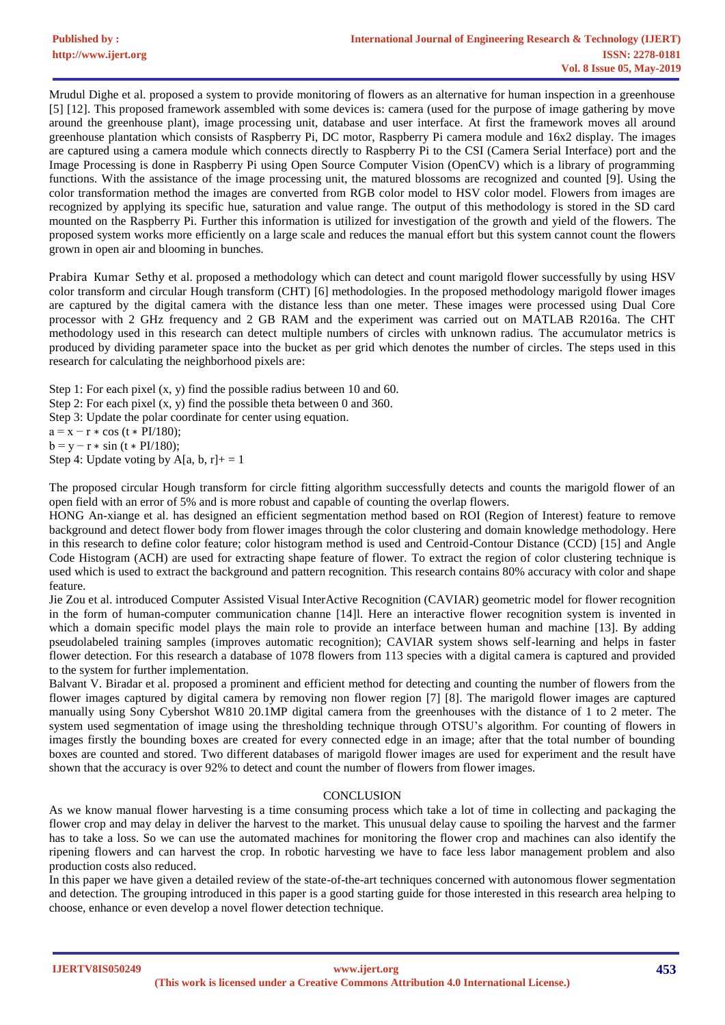Mrudul Dighe et al. proposed a system to provide monitoring of flowers as an alternative for human inspection in a greenhouse [5] [12]. This proposed framework assembled with some devices is: camera (used for the purpose of image gathering by move around the greenhouse plant), image processing unit, database and user interface. At first the framework moves all around greenhouse plantation which consists of Raspberry Pi, DC motor, Raspberry Pi camera module and 16x2 display. The images are captured using a camera module which connects directly to Raspberry Pi to the CSI (Camera Serial Interface) port and the Image Processing is done in Raspberry Pi using Open Source Computer Vision (OpenCV) which is a library of programming functions. With the assistance of the image processing unit, the matured blossoms are recognized and counted [9]. Using the color transformation method the images are converted from RGB color model to HSV color model. Flowers from images are recognized by applying its specific hue, saturation and value range. The output of this methodology is stored in the SD card mounted on the Raspberry Pi. Further this information is utilized for investigation of the growth and yield of the flowers. The proposed system works more efficiently on a large scale and reduces the manual effort but this system cannot count the flowers grown in open air and blooming in bunches.

Prabira Kumar Sethy et al. proposed a methodology which can detect and count marigold flower successfully by using HSV color transform and circular Hough transform (CHT) [6] methodologies. In the proposed methodology marigold flower images are captured by the digital camera with the distance less than one meter. These images were processed using Dual Core processor with 2 GHz frequency and 2 GB RAM and the experiment was carried out on MATLAB R2016a. The CHT methodology used in this research can detect multiple numbers of circles with unknown radius. The accumulator metrics is produced by dividing parameter space into the bucket as per grid which denotes the number of circles. The steps used in this research for calculating the neighborhood pixels are:

Step 1: For each pixel  $(x, y)$  find the possible radius between 10 and 60.

Step 2: For each pixel (x, y) find the possible theta between 0 and 360.

Step 3: Update the polar coordinate for center using equation.

 $a = x - r * cos (t * PI/180);$ 

 $b = y - r * sin (t * PI/180);$ 

Step 4: Update voting by A[a, b, r]+ = 1

The proposed circular Hough transform for circle fitting algorithm successfully detects and counts the marigold flower of an open field with an error of 5% and is more robust and capable of counting the overlap flowers.

HONG An-xiange et al. has designed an efficient segmentation method based on ROI (Region of Interest) feature to remove background and detect flower body from flower images through the color clustering and domain knowledge methodology. Here in this research to define color feature; color histogram method is used and Centroid-Contour Distance (CCD) [15] and Angle Code Histogram (ACH) are used for extracting shape feature of flower. To extract the region of color clustering technique is used which is used to extract the background and pattern recognition. This research contains 80% accuracy with color and shape feature.

Jie Zou et al. introduced Computer Assisted Visual InterActive Recognition (CAVIAR) geometric model for flower recognition in the form of human-computer communication channe [14]l. Here an interactive flower recognition system is invented in which a domain specific model plays the main role to provide an interface between human and machine [13]. By adding pseudolabeled training samples (improves automatic recognition); CAVIAR system shows self-learning and helps in faster flower detection. For this research a database of 1078 flowers from 113 species with a digital camera is captured and provided to the system for further implementation.

Balvant V. Biradar et al. proposed a prominent and efficient method for detecting and counting the number of flowers from the flower images captured by digital camera by removing non flower region [7] [8]. The marigold flower images are captured manually using Sony Cybershot W810 20.1MP digital camera from the greenhouses with the distance of 1 to 2 meter. The system used segmentation of image using the thresholding technique through OTSU's algorithm. For counting of flowers in images firstly the bounding boxes are created for every connected edge in an image; after that the total number of bounding boxes are counted and stored. Two different databases of marigold flower images are used for experiment and the result have shown that the accuracy is over 92% to detect and count the number of flowers from flower images.

## **CONCLUSION**

As we know manual flower harvesting is a time consuming process which take a lot of time in collecting and packaging the flower crop and may delay in deliver the harvest to the market. This unusual delay cause to spoiling the harvest and the farmer has to take a loss. So we can use the automated machines for monitoring the flower crop and machines can also identify the ripening flowers and can harvest the crop. In robotic harvesting we have to face less labor management problem and also production costs also reduced.

In this paper we have given a detailed review of the state-of-the-art techniques concerned with autonomous flower segmentation and detection. The grouping introduced in this paper is a good starting guide for those interested in this research area helping to choose, enhance or even develop a novel flower detection technique.

**IJERTV8IS050249**